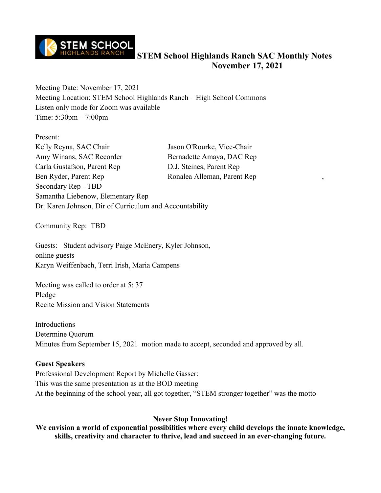

Meeting Date: November 17, 2021 Meeting Location: STEM School Highlands Ranch – High School Commons Listen only mode for Zoom was available Time: 5:30pm – 7:00pm

Present: Kelly Reyna, SAC Chair Jason O'Rourke, Vice-Chair Amy Winans, SAC Recorder Bernadette Amaya, DAC Rep Carla Gustafson, Parent Rep D.J. Steines, Parent Rep Ben Ryder, Parent Rep Ronalea Alleman, Parent Rep Secondary Rep - TBD Samantha Liebenow, Elementary Rep Dr. Karen Johnson, Dir of Curriculum and Accountability

Community Rep: TBD

Guests: Student advisory Paige McEnery, Kyler Johnson, online guests Karyn Weiffenbach, Terri Irish, Maria Campens

Meeting was called to order at 5: 37 Pledge Recite Mission and Vision Statements

Introductions Determine Quorum Minutes from September 15, 2021 motion made to accept, seconded and approved by all.

#### **Guest Speakers**

Professional Development Report by Michelle Gasser: This was the same presentation as at the BOD meeting At the beginning of the school year, all got together, "STEM stronger together" was the motto

### **Never Stop Innovating!**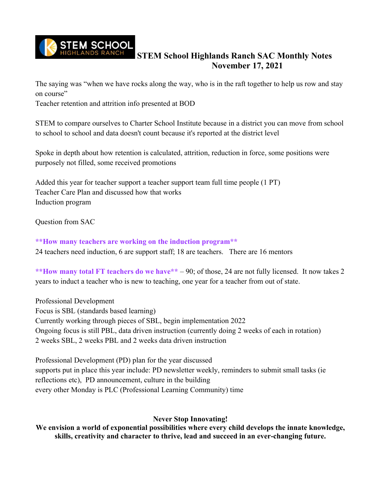

The saying was "when we have rocks along the way, who is in the raft together to help us row and stay on course"

Teacher retention and attrition info presented at BOD

STEM to compare ourselves to Charter School Institute because in a district you can move from school to school to school and data doesn't count because it's reported at the district level

Spoke in depth about how retention is calculated, attrition, reduction in force, some positions were purposely not filled, some received promotions

Added this year for teacher support a teacher support team full time people (1 PT) Teacher Care Plan and discussed how that works Induction program

Question from SAC

**\*\*How many teachers are working on the induction program\*\*** 24 teachers need induction, 6 are support staff; 18 are teachers. There are 16 mentors

**\*\*How many total FT teachers do we have\*\*** – 90; of those, 24 are not fully licensed. It now takes 2 years to induct a teacher who is new to teaching, one year for a teacher from out of state.

Professional Development Focus is SBL (standards based learning) Currently working through pieces of SBL, begin implementation 2022 Ongoing focus is still PBL, data driven instruction (currently doing 2 weeks of each in rotation) 2 weeks SBL, 2 weeks PBL and 2 weeks data driven instruction

Professional Development (PD) plan for the year discussed supports put in place this year include: PD newsletter weekly, reminders to submit small tasks (ie reflections etc), PD announcement, culture in the building every other Monday is PLC (Professional Learning Community) time

### **Never Stop Innovating!**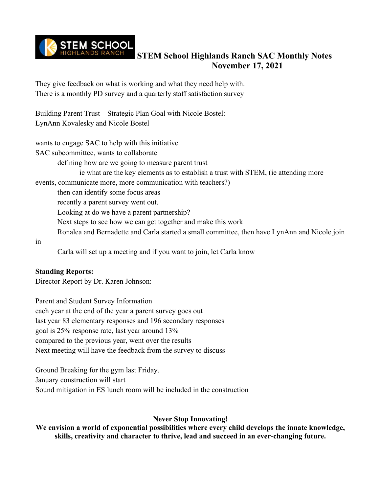

They give feedback on what is working and what they need help with. There is a monthly PD survey and a quarterly staff satisfaction survey

Building Parent Trust – Strategic Plan Goal with Nicole Bostel: LynAnn Kovalesky and Nicole Bostel

wants to engage SAC to help with this initiative SAC subcommittee, wants to collaborate defining how are we going to measure parent trust ie what are the key elements as to establish a trust with STEM, (ie attending more events, communicate more, more communication with teachers?) then can identify some focus areas recently a parent survey went out. Looking at do we have a parent partnership? Next steps to see how we can get together and make this work Ronalea and Bernadette and Carla started a small committee, then have LynAnn and Nicole join in Carla will set up a meeting and if you want to join, let Carla know

### **Standing Reports:**

Director Report by Dr. Karen Johnson:

Parent and Student Survey Information each year at the end of the year a parent survey goes out last year 83 elementary responses and 196 secondary responses goal is 25% response rate, last year around 13% compared to the previous year, went over the results Next meeting will have the feedback from the survey to discuss

Ground Breaking for the gym last Friday. January construction will start Sound mitigation in ES lunch room will be included in the construction

### **Never Stop Innovating!**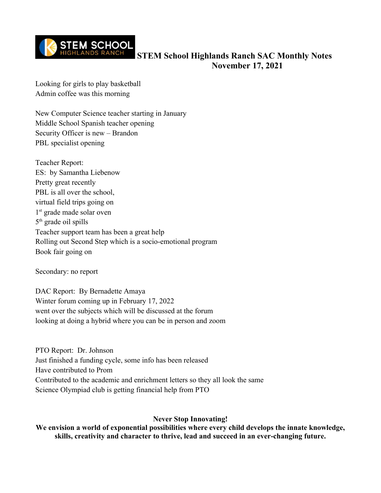

Looking for girls to play basketball Admin coffee was this morning

New Computer Science teacher starting in January Middle School Spanish teacher opening Security Officer is new – Brandon PBL specialist opening

Teacher Report: ES: by Samantha Liebenow Pretty great recently PBL is all over the school, virtual field trips going on 1<sup>st</sup> grade made solar oven 5 th grade oil spills Teacher support team has been a great help Rolling out Second Step which is a socio-emotional program Book fair going on

Secondary: no report

DAC Report: By Bernadette Amaya Winter forum coming up in February 17, 2022 went over the subjects which will be discussed at the forum looking at doing a hybrid where you can be in person and zoom

PTO Report: Dr. Johnson Just finished a funding cycle, some info has been released Have contributed to Prom Contributed to the academic and enrichment letters so they all look the same Science Olympiad club is getting financial help from PTO

### **Never Stop Innovating!**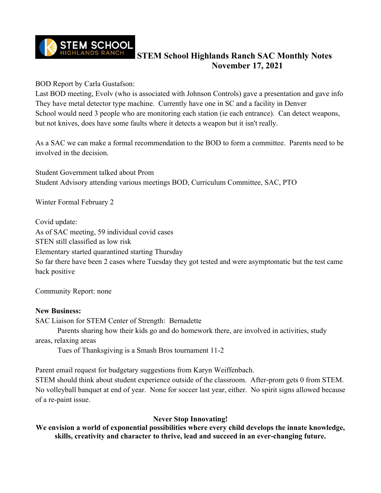

BOD Report by Carla Gustafson:

Last BOD meeting, Evolv (who is associated with Johnson Controls) gave a presentation and gave info They have metal detector type machine. Currently have one in SC and a facility in Denver School would need 3 people who are monitoring each station (ie each entrance). Can detect weapons, but not knives, does have some faults where it detects a weapon but it isn't really.

As a SAC we can make a formal recommendation to the BOD to form a committee. Parents need to be involved in the decision.

Student Government talked about Prom Student Advisory attending various meetings BOD, Curriculum Committee, SAC, PTO

Winter Formal February 2

Covid update:

As of SAC meeting, 59 individual covid cases

STEN still classified as low risk

Elementary started quarantined starting Thursday

So far there have been 2 cases where Tuesday they got tested and were asymptomatic but the test came back positive

Community Report: none

### **New Business:**

SAC Liaison for STEM Center of Strength: Bernadette

Parents sharing how their kids go and do homework there, are involved in activities, study areas, relaxing areas

Tues of Thanksgiving is a Smash Bros tournament 11-2

Parent email request for budgetary suggestions from Karyn Weiffenbach.

STEM should think about student experience outside of the classroom. After-prom gets 0 from STEM. No volleyball banquet at end of year. None for soccer last year, either. No spirit signs allowed because of a re-paint issue.

### **Never Stop Innovating!**